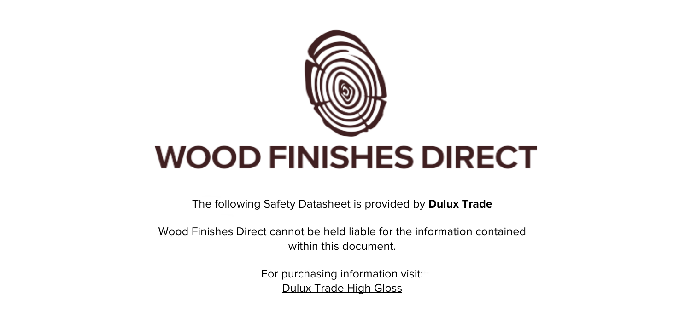

The following Safety Datasheet is provided by **Dulux Trade**

Wood Finishes Direct cannot be held liable for the information contained within this document

> For purchasing information visit: [Dulux Trade High Gloss](https://www.wood-finishes-direct.com/product/dulux-trade-high-gloss)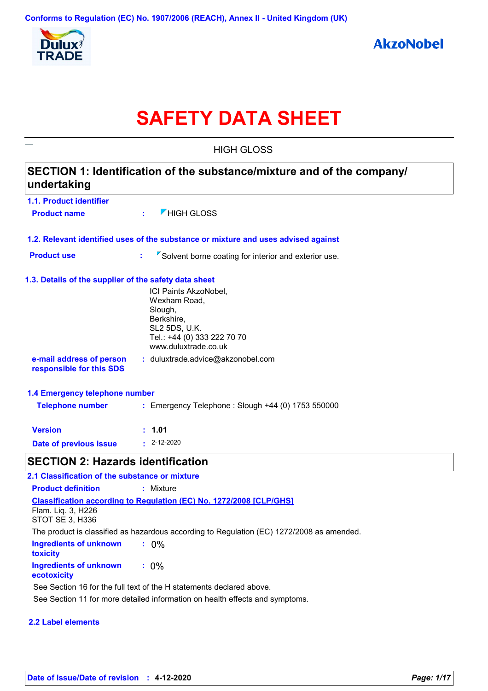

# **SAFETY DATA SHEET**

|                                                       | <b>HIGH GLOSS</b>                                                                                                                      |  |  |  |  |
|-------------------------------------------------------|----------------------------------------------------------------------------------------------------------------------------------------|--|--|--|--|
| undertaking                                           | SECTION 1: Identification of the substance/mixture and of the company/                                                                 |  |  |  |  |
| 1.1. Product identifier                               |                                                                                                                                        |  |  |  |  |
| <b>Product name</b>                                   | $\nabla$ HIGH GLOSS<br>÷.                                                                                                              |  |  |  |  |
|                                                       | 1.2. Relevant identified uses of the substance or mixture and uses advised against                                                     |  |  |  |  |
| <b>Product use</b>                                    | $\sqrt{2}$ Solvent borne coating for interior and exterior use.<br>t,                                                                  |  |  |  |  |
| 1.3. Details of the supplier of the safety data sheet |                                                                                                                                        |  |  |  |  |
|                                                       | ICI Paints AkzoNobel,<br>Wexham Road,<br>Slough,<br>Berkshire,<br>SL2 5DS, U.K.<br>Tel.: +44 (0) 333 222 70 70<br>www.duluxtrade.co.uk |  |  |  |  |
| e-mail address of person<br>responsible for this SDS  | : duluxtrade.advice@akzonobel.com                                                                                                      |  |  |  |  |
| 1.4 Emergency telephone number                        |                                                                                                                                        |  |  |  |  |
| <b>Telephone number</b>                               | : Emergency Telephone : Slough +44 (0) 1753 550000                                                                                     |  |  |  |  |
| <b>Version</b>                                        | : 1.01                                                                                                                                 |  |  |  |  |
| <b>Date of previous issue</b>                         | $: 2 - 12 - 2020$                                                                                                                      |  |  |  |  |
| <b>SECTION 2: Hazards identification</b>              |                                                                                                                                        |  |  |  |  |
| 2.1 Classification of the substance or mixture        |                                                                                                                                        |  |  |  |  |
| <b>Product definition</b>                             | : Mixture                                                                                                                              |  |  |  |  |
| Flam. Lig. 3, H226                                    | <b>Classification according to Regulation (EC) No. 1272/2008 [CLP/GHS]</b>                                                             |  |  |  |  |

**:** 0%

See Section 11 for more detailed information on health effects and symptoms.

The product is classified as hazardous according to Regulation (EC) 1272/2008 as amended.

**:** 0%

See Section 16 for the full text of the H statements declared above.

**Ingredients of unknown** 

STOT SE 3, H336

**2.2 Label elements**

**Ingredients of unknown** 

**toxicity**

**ecotoxicity**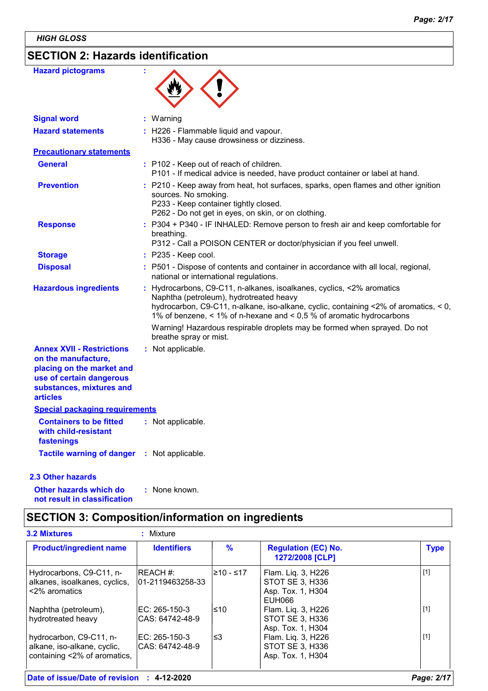*HIGH GLOSS*

# **SECTION 2: Hazards identification**

| <b>Hazard pictograms</b>                                                                                                                                        |                                                                                                                                                                                                                                                                                                                                                             |
|-----------------------------------------------------------------------------------------------------------------------------------------------------------------|-------------------------------------------------------------------------------------------------------------------------------------------------------------------------------------------------------------------------------------------------------------------------------------------------------------------------------------------------------------|
| <b>Signal word</b>                                                                                                                                              | : Warning                                                                                                                                                                                                                                                                                                                                                   |
| <b>Hazard statements</b>                                                                                                                                        | : H226 - Flammable liquid and vapour.<br>H336 - May cause drowsiness or dizziness.                                                                                                                                                                                                                                                                          |
| <b>Precautionary statements</b>                                                                                                                                 |                                                                                                                                                                                                                                                                                                                                                             |
| <b>General</b>                                                                                                                                                  | : P102 - Keep out of reach of children.<br>P101 - If medical advice is needed, have product container or label at hand.                                                                                                                                                                                                                                     |
| <b>Prevention</b>                                                                                                                                               | : P210 - Keep away from heat, hot surfaces, sparks, open flames and other ignition<br>sources. No smoking.<br>P233 - Keep container tightly closed.<br>P262 - Do not get in eyes, on skin, or on clothing.                                                                                                                                                  |
| <b>Response</b>                                                                                                                                                 | : P304 + P340 - IF INHALED: Remove person to fresh air and keep comfortable for<br>breathing.<br>P312 - Call a POISON CENTER or doctor/physician if you feel unwell.                                                                                                                                                                                        |
| <b>Storage</b>                                                                                                                                                  | $:$ P235 - Keep cool.                                                                                                                                                                                                                                                                                                                                       |
| <b>Disposal</b>                                                                                                                                                 | : P501 - Dispose of contents and container in accordance with all local, regional,<br>national or international regulations.                                                                                                                                                                                                                                |
| <b>Hazardous ingredients</b>                                                                                                                                    | Hydrocarbons, C9-C11, n-alkanes, isoalkanes, cyclics, <2% aromatics<br>Naphtha (petroleum), hydrotreated heavy<br>hydrocarbon, C9-C11, n-alkane, iso-alkane, cyclic, containing <2% of aromatics, < 0,<br>1% of benzene, < 1% of n-hexane and < 0,5 % of aromatic hydrocarbons<br>Warning! Hazardous respirable droplets may be formed when sprayed. Do not |
|                                                                                                                                                                 | breathe spray or mist.                                                                                                                                                                                                                                                                                                                                      |
| <b>Annex XVII - Restrictions</b><br>on the manufacture,<br>placing on the market and<br>use of certain dangerous<br>substances, mixtures and<br><b>articles</b> | : Not applicable.                                                                                                                                                                                                                                                                                                                                           |
| <b>Special packaging requirements</b>                                                                                                                           |                                                                                                                                                                                                                                                                                                                                                             |
| <b>Containers to be fitted</b><br>with child-resistant<br>fastenings                                                                                            | : Not applicable.                                                                                                                                                                                                                                                                                                                                           |
| <b>Tactile warning of danger</b>                                                                                                                                | : Not applicable.                                                                                                                                                                                                                                                                                                                                           |

### **2.3 Other hazards**

**Other hazards which do : not result in classification** : None known.

# **SECTION 3: Composition/information on ingredients**

| <b>Product/ingredient name</b> | <b>Identifiers</b> | $\frac{9}{6}$ | <b>Regulation (EC) No.</b><br>1272/2008 [CLP] | <b>Type</b> |
|--------------------------------|--------------------|---------------|-----------------------------------------------|-------------|
| Hydrocarbons, C9-C11, n-       | <b>IREACH #:</b>   | l≥10 - ≤17    | Flam. Liq. 3, H226                            | $[1]$       |
| alkanes, isoalkanes, cyclics,  | 01-2119463258-33   |               | STOT SE 3, H336                               |             |
| <2% aromatics                  |                    |               | Asp. Tox. 1, H304                             |             |
|                                |                    |               | EUH066                                        |             |
| Naphtha (petroleum),           | IEC: 265-150-3     | l≤10          | Flam. Liq. 3, H226                            | $[1]$       |
| hydrotreated heavy             | ICAS: 64742-48-9   |               | STOT SE 3, H336                               |             |
|                                |                    |               | Asp. Tox. 1, H304                             |             |
| hydrocarbon, C9-C11, n-        | IEC: 265-150-3     | ∣≤3           | Flam. Liq. 3, H226                            | $[1]$       |
| alkane, iso-alkane, cyclic,    | ICAS: 64742-48-9   |               | STOT SE 3, H336                               |             |
| containing <2% of aromatics,   |                    |               | Asp. Tox. 1, H304                             |             |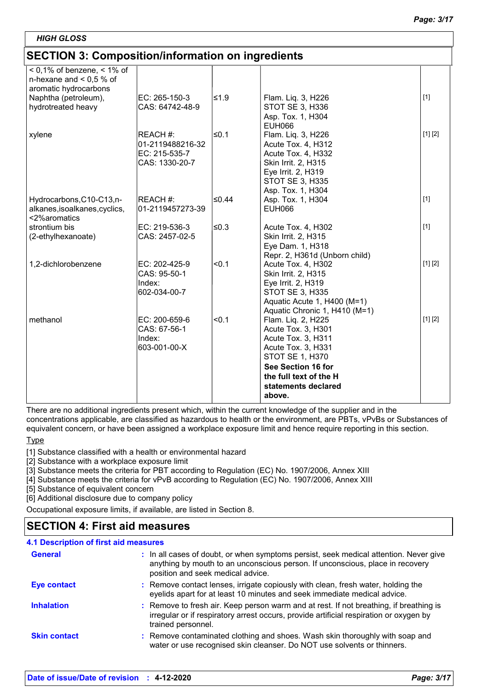| <b>HIGH GLOSS</b>                                                                      |                                                                 |        |                                                                                                                                                                                                 |         |
|----------------------------------------------------------------------------------------|-----------------------------------------------------------------|--------|-------------------------------------------------------------------------------------------------------------------------------------------------------------------------------------------------|---------|
| <b>SECTION 3: Composition/information on ingredients</b>                               |                                                                 |        |                                                                                                                                                                                                 |         |
| $< 0.1\%$ of benzene, $< 1\%$ of<br>n-hexane and $< 0.5$ % of<br>aromatic hydrocarbons |                                                                 |        |                                                                                                                                                                                                 |         |
| Naphtha (petroleum),<br>hydrotreated heavy                                             | EC: 265-150-3<br>CAS: 64742-48-9                                | l≤1.9  | Flam. Liq. 3, H226<br><b>STOT SE 3, H336</b><br>Asp. Tox. 1, H304<br>EUH066                                                                                                                     | $[1]$   |
| xylene                                                                                 | REACH #:<br>01-2119488216-32<br>EC: 215-535-7<br>CAS: 1330-20-7 | l≤0.1  | Flam. Liq. 3, H226<br>Acute Tox. 4, H312<br>Acute Tox. 4, H332<br>Skin Irrit. 2, H315<br>Eye Irrit. 2, H319<br><b>STOT SE 3, H335</b><br>Asp. Tox. 1, H304                                      | [1] [2] |
| Hydrocarbons, C10-C13, n-<br>alkanes, isoalkanes, cyclics,<br><2%aromatics             | <b>REACH #:</b><br>01-2119457273-39                             | l≤0.44 | Asp. Tox. 1, H304<br><b>EUH066</b>                                                                                                                                                              | $[1]$   |
| strontium bis<br>(2-ethylhexanoate)                                                    | EC: 219-536-3<br>CAS: 2457-02-5                                 | ≤0.3   | Acute Tox. 4, H302<br>Skin Irrit. 2, H315<br>Eye Dam. 1, H318<br>Repr. 2, H361d (Unborn child)                                                                                                  | $[1]$   |
| 1,2-dichlorobenzene                                                                    | EC: 202-425-9<br>CAS: 95-50-1<br>Index:<br>602-034-00-7         | < 0.1  | Acute Tox. 4, H302<br>Skin Irrit. 2, H315<br>Eye Irrit. 2, H319<br>STOT SE 3, H335<br>Aquatic Acute 1, H400 (M=1)<br>Aquatic Chronic 1, H410 (M=1)                                              | [1] [2] |
| methanol                                                                               | EC: 200-659-6<br>CAS: 67-56-1<br>Index:<br>603-001-00-X         | < 0.1  | Flam. Liq. 2, H225<br>Acute Tox. 3, H301<br>Acute Tox. 3, H311<br>Acute Tox. 3, H331<br><b>STOT SE 1, H370</b><br>See Section 16 for<br>the full text of the H<br>statements declared<br>above. | [1] [2] |

There are no additional ingredients present which, within the current knowledge of the supplier and in the concentrations applicable, are classified as hazardous to health or the environment, are PBTs, vPvBs or Substances of equivalent concern, or have been assigned a workplace exposure limit and hence require reporting in this section.

**Type** 

[1] Substance classified with a health or environmental hazard

[2] Substance with a workplace exposure limit

[3] Substance meets the criteria for PBT according to Regulation (EC) No. 1907/2006, Annex XIII

[4] Substance meets the criteria for vPvB according to Regulation (EC) No. 1907/2006, Annex XIII

[5] Substance of equivalent concern

[6] Additional disclosure due to company policy

Occupational exposure limits, if available, are listed in Section 8.

# **SECTION 4: First aid measures**

| <b>4.1 Description of first aid measures</b> |                                                                                                                                                                                                             |
|----------------------------------------------|-------------------------------------------------------------------------------------------------------------------------------------------------------------------------------------------------------------|
| <b>General</b>                               | : In all cases of doubt, or when symptoms persist, seek medical attention. Never give<br>anything by mouth to an unconscious person. If unconscious, place in recovery<br>position and seek medical advice. |
| <b>Eye contact</b>                           | : Remove contact lenses, irrigate copiously with clean, fresh water, holding the<br>eyelids apart for at least 10 minutes and seek immediate medical advice.                                                |
| <b>Inhalation</b>                            | : Remove to fresh air. Keep person warm and at rest. If not breathing, if breathing is<br>irregular or if respiratory arrest occurs, provide artificial respiration or oxygen by<br>trained personnel.      |
| <b>Skin contact</b>                          | : Remove contaminated clothing and shoes. Wash skin thoroughly with soap and<br>water or use recognised skin cleanser. Do NOT use solvents or thinners.                                                     |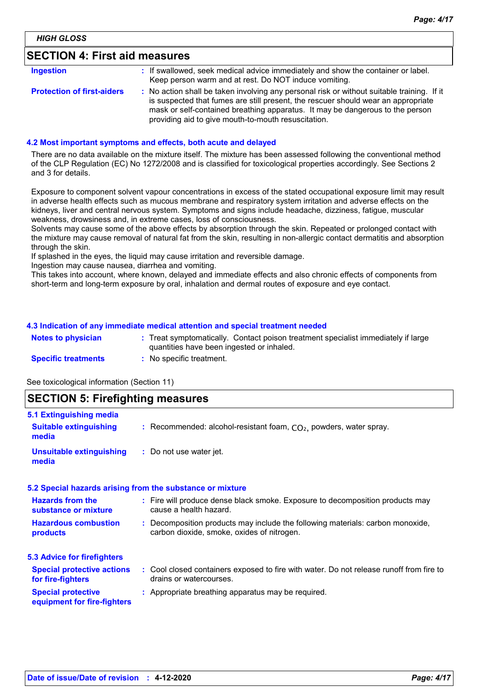# **SECTION 4: First aid measures**

| Ingestion                         | : If swallowed, seek medical advice immediately and show the container or label.<br>Keep person warm and at rest. Do NOT induce vomiting.                                                                                                                                                                               |
|-----------------------------------|-------------------------------------------------------------------------------------------------------------------------------------------------------------------------------------------------------------------------------------------------------------------------------------------------------------------------|
| <b>Protection of first-aiders</b> | : No action shall be taken involving any personal risk or without suitable training. If it<br>is suspected that fumes are still present, the rescuer should wear an appropriate<br>mask or self-contained breathing apparatus. It may be dangerous to the person<br>providing aid to give mouth-to-mouth resuscitation. |

### **4.2 Most important symptoms and effects, both acute and delayed**

There are no data available on the mixture itself. The mixture has been assessed following the conventional method of the CLP Regulation (EC) No 1272/2008 and is classified for toxicological properties accordingly. See Sections 2 and 3 for details.

Exposure to component solvent vapour concentrations in excess of the stated occupational exposure limit may result in adverse health effects such as mucous membrane and respiratory system irritation and adverse effects on the kidneys, liver and central nervous system. Symptoms and signs include headache, dizziness, fatigue, muscular weakness, drowsiness and, in extreme cases, loss of consciousness.

Solvents may cause some of the above effects by absorption through the skin. Repeated or prolonged contact with the mixture may cause removal of natural fat from the skin, resulting in non-allergic contact dermatitis and absorption through the skin.

If splashed in the eyes, the liquid may cause irritation and reversible damage.

Ingestion may cause nausea, diarrhea and vomiting.

This takes into account, where known, delayed and immediate effects and also chronic effects of components from short-term and long-term exposure by oral, inhalation and dermal routes of exposure and eye contact.

### **4.3 Indication of any immediate medical attention and special treatment needed**

| <b>Notes to physician</b>  | : Treat symptomatically. Contact poison treatment specialist immediately if large<br>quantities have been ingested or inhaled. |
|----------------------------|--------------------------------------------------------------------------------------------------------------------------------|
| <b>Specific treatments</b> | No specific treatment.                                                                                                         |

See toxicological information (Section 11)

### **SECTION 5: Firefighting measures**

| 5.1 Extinguishing media                                  |                                                                                                                              |  |  |
|----------------------------------------------------------|------------------------------------------------------------------------------------------------------------------------------|--|--|
| <b>Suitable extinguishing</b><br>media                   | : Recommended: alcohol-resistant foam, $CO2$ , powders, water spray.                                                         |  |  |
| <b>Unsuitable extinguishing</b><br>media                 | : Do not use water jet.                                                                                                      |  |  |
|                                                          | 5.2 Special hazards arising from the substance or mixture                                                                    |  |  |
| <b>Hazards from the</b><br>substance or mixture          | : Fire will produce dense black smoke. Exposure to decomposition products may<br>cause a health hazard.                      |  |  |
| <b>Hazardous combustion</b><br>products                  | : Decomposition products may include the following materials: carbon monoxide,<br>carbon dioxide, smoke, oxides of nitrogen. |  |  |
| 5.3 Advice for firefighters                              |                                                                                                                              |  |  |
| <b>Special protective actions</b><br>for fire-fighters   | : Cool closed containers exposed to fire with water. Do not release runoff from fire to<br>drains or watercourses.           |  |  |
| <b>Special protective</b><br>equipment for fire-fighters | : Appropriate breathing apparatus may be required.                                                                           |  |  |
|                                                          |                                                                                                                              |  |  |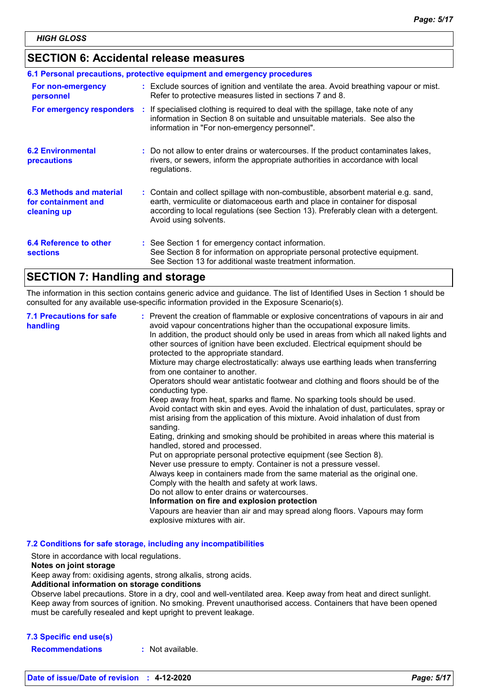### **SECTION 6: Accidental release measures**

|                                                                | 6.1 Personal precautions, protective equipment and emergency procedures                                                                                                                                                                                                            |
|----------------------------------------------------------------|------------------------------------------------------------------------------------------------------------------------------------------------------------------------------------------------------------------------------------------------------------------------------------|
| For non-emergency<br>personnel                                 | : Exclude sources of ignition and ventilate the area. Avoid breathing vapour or mist.<br>Refer to protective measures listed in sections 7 and 8.                                                                                                                                  |
|                                                                | For emergency responders : If specialised clothing is required to deal with the spillage, take note of any<br>information in Section 8 on suitable and unsuitable materials. See also the<br>information in "For non-emergency personnel".                                         |
| <b>6.2 Environmental</b><br>precautions                        | : Do not allow to enter drains or watercourses. If the product contaminates lakes,<br>rivers, or sewers, inform the appropriate authorities in accordance with local<br>regulations.                                                                                               |
| 6.3 Methods and material<br>for containment and<br>cleaning up | : Contain and collect spillage with non-combustible, absorbent material e.g. sand,<br>earth, vermiculite or diatomaceous earth and place in container for disposal<br>according to local regulations (see Section 13). Preferably clean with a detergent.<br>Avoid using solvents. |
| 6.4 Reference to other<br><b>sections</b>                      | : See Section 1 for emergency contact information.<br>See Section 8 for information on appropriate personal protective equipment.<br>See Section 13 for additional waste treatment information.                                                                                    |

# **SECTION 7: Handling and storage**

The information in this section contains generic advice and guidance. The list of Identified Uses in Section 1 should be consulted for any available use-specific information provided in the Exposure Scenario(s).

| <b>7.1 Precautions for safe</b><br>handling | : Prevent the creation of flammable or explosive concentrations of vapours in air and<br>avoid vapour concentrations higher than the occupational exposure limits.<br>In addition, the product should only be used in areas from which all naked lights and<br>other sources of ignition have been excluded. Electrical equipment should be<br>protected to the appropriate standard.<br>Mixture may charge electrostatically: always use earthing leads when transferring<br>from one container to another.<br>Operators should wear antistatic footwear and clothing and floors should be of the<br>conducting type.<br>Keep away from heat, sparks and flame. No sparking tools should be used.<br>Avoid contact with skin and eyes. Avoid the inhalation of dust, particulates, spray or<br>mist arising from the application of this mixture. Avoid inhalation of dust from<br>sanding.<br>Eating, drinking and smoking should be prohibited in areas where this material is<br>handled, stored and processed.<br>Put on appropriate personal protective equipment (see Section 8).<br>Never use pressure to empty. Container is not a pressure vessel.<br>Always keep in containers made from the same material as the original one.<br>Comply with the health and safety at work laws.<br>Do not allow to enter drains or watercourses.<br>Information on fire and explosion protection<br>Vapours are heavier than air and may spread along floors. Vapours may form<br>explosive mixtures with air. |
|---------------------------------------------|--------------------------------------------------------------------------------------------------------------------------------------------------------------------------------------------------------------------------------------------------------------------------------------------------------------------------------------------------------------------------------------------------------------------------------------------------------------------------------------------------------------------------------------------------------------------------------------------------------------------------------------------------------------------------------------------------------------------------------------------------------------------------------------------------------------------------------------------------------------------------------------------------------------------------------------------------------------------------------------------------------------------------------------------------------------------------------------------------------------------------------------------------------------------------------------------------------------------------------------------------------------------------------------------------------------------------------------------------------------------------------------------------------------------------------------------------------------------------------------------------------------|
|---------------------------------------------|--------------------------------------------------------------------------------------------------------------------------------------------------------------------------------------------------------------------------------------------------------------------------------------------------------------------------------------------------------------------------------------------------------------------------------------------------------------------------------------------------------------------------------------------------------------------------------------------------------------------------------------------------------------------------------------------------------------------------------------------------------------------------------------------------------------------------------------------------------------------------------------------------------------------------------------------------------------------------------------------------------------------------------------------------------------------------------------------------------------------------------------------------------------------------------------------------------------------------------------------------------------------------------------------------------------------------------------------------------------------------------------------------------------------------------------------------------------------------------------------------------------|

**7.2 Conditions for safe storage, including any incompatibilities**

Store in accordance with local regulations.

### **Notes on joint storage**

Keep away from: oxidising agents, strong alkalis, strong acids.

#### **Additional information on storage conditions**

Observe label precautions. Store in a dry, cool and well-ventilated area. Keep away from heat and direct sunlight. Keep away from sources of ignition. No smoking. Prevent unauthorised access. Containers that have been opened must be carefully resealed and kept upright to prevent leakage.

### **7.3 Specific end use(s)**

**Recommendations :** Not available.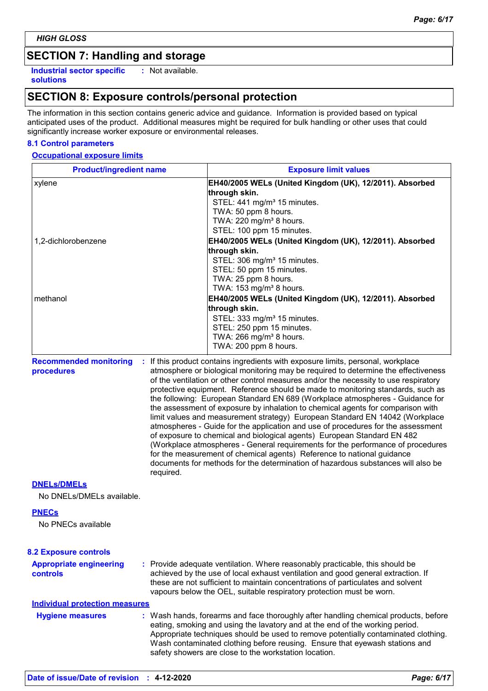# **SECTION 7: Handling and storage**

**Industrial sector specific : solutions**

: Not available.

# **SECTION 8: Exposure controls/personal protection**

The information in this section contains generic advice and guidance. Information is provided based on typical anticipated uses of the product. Additional measures might be required for bulk handling or other uses that could significantly increase worker exposure or environmental releases.

### **8.1 Control parameters**

### **Occupational exposure limits**

| <b>Product/ingredient name</b>                    |           | <b>Exposure limit values</b>                                                                                                                                                                                                                                                                                                                                                                                                                                                                                                                                                                                                                                                                                                                                                                                                                                                                                                                                                                                          |
|---------------------------------------------------|-----------|-----------------------------------------------------------------------------------------------------------------------------------------------------------------------------------------------------------------------------------------------------------------------------------------------------------------------------------------------------------------------------------------------------------------------------------------------------------------------------------------------------------------------------------------------------------------------------------------------------------------------------------------------------------------------------------------------------------------------------------------------------------------------------------------------------------------------------------------------------------------------------------------------------------------------------------------------------------------------------------------------------------------------|
| xylene                                            |           | EH40/2005 WELs (United Kingdom (UK), 12/2011). Absorbed<br>through skin.<br>STEL: 441 mg/m <sup>3</sup> 15 minutes.                                                                                                                                                                                                                                                                                                                                                                                                                                                                                                                                                                                                                                                                                                                                                                                                                                                                                                   |
|                                                   |           | TWA: 50 ppm 8 hours.<br>TWA: 220 mg/m <sup>3</sup> 8 hours.<br>STEL: 100 ppm 15 minutes.                                                                                                                                                                                                                                                                                                                                                                                                                                                                                                                                                                                                                                                                                                                                                                                                                                                                                                                              |
| 1,2-dichlorobenzene                               |           | EH40/2005 WELs (United Kingdom (UK), 12/2011). Absorbed<br>through skin.<br>STEL: 306 mg/m <sup>3</sup> 15 minutes.<br>STEL: 50 ppm 15 minutes.<br>TWA: 25 ppm 8 hours.                                                                                                                                                                                                                                                                                                                                                                                                                                                                                                                                                                                                                                                                                                                                                                                                                                               |
| methanol                                          |           | TWA: 153 mg/m <sup>3</sup> 8 hours.<br>EH40/2005 WELs (United Kingdom (UK), 12/2011). Absorbed<br>through skin.<br>STEL: 333 mg/m <sup>3</sup> 15 minutes.<br>STEL: 250 ppm 15 minutes.<br>TWA: 266 mg/m <sup>3</sup> 8 hours.<br>TWA: 200 ppm 8 hours.                                                                                                                                                                                                                                                                                                                                                                                                                                                                                                                                                                                                                                                                                                                                                               |
| <b>Recommended monitoring</b><br>procedures       | required. | : If this product contains ingredients with exposure limits, personal, workplace<br>atmosphere or biological monitoring may be required to determine the effectiveness<br>of the ventilation or other control measures and/or the necessity to use respiratory<br>protective equipment. Reference should be made to monitoring standards, such as<br>the following: European Standard EN 689 (Workplace atmospheres - Guidance for<br>the assessment of exposure by inhalation to chemical agents for comparison with<br>limit values and measurement strategy) European Standard EN 14042 (Workplace<br>atmospheres - Guide for the application and use of procedures for the assessment<br>of exposure to chemical and biological agents) European Standard EN 482<br>(Workplace atmospheres - General requirements for the performance of procedures<br>for the measurement of chemical agents) Reference to national guidance<br>documents for methods for the determination of hazardous substances will also be |
| <b>DNELS/DMELS</b><br>No DNELs/DMELs available.   |           |                                                                                                                                                                                                                                                                                                                                                                                                                                                                                                                                                                                                                                                                                                                                                                                                                                                                                                                                                                                                                       |
| <b>PNECs</b><br>No PNECs available                |           |                                                                                                                                                                                                                                                                                                                                                                                                                                                                                                                                                                                                                                                                                                                                                                                                                                                                                                                                                                                                                       |
| <b>8.2 Exposure controls</b>                      |           |                                                                                                                                                                                                                                                                                                                                                                                                                                                                                                                                                                                                                                                                                                                                                                                                                                                                                                                                                                                                                       |
| <b>Appropriate engineering</b><br><b>controls</b> |           | : Provide adequate ventilation. Where reasonably practicable, this should be<br>achieved by the use of local exhaust ventilation and good general extraction. If<br>these are not sufficient to maintain concentrations of particulates and solvent<br>vapours below the OEL, suitable respiratory protection must be worn.                                                                                                                                                                                                                                                                                                                                                                                                                                                                                                                                                                                                                                                                                           |
| <b>Individual protection measures</b>             |           |                                                                                                                                                                                                                                                                                                                                                                                                                                                                                                                                                                                                                                                                                                                                                                                                                                                                                                                                                                                                                       |
| <b>Hygiene measures</b>                           |           | : Wash hands, forearms and face thoroughly after handling chemical products, before<br>eating, smoking and using the lavatory and at the end of the working period.<br>Appropriate techniques should be used to remove potentially contaminated clothing.<br>Wash contaminated clothing before reusing. Ensure that eyewash stations and<br>safety showers are close to the workstation location.                                                                                                                                                                                                                                                                                                                                                                                                                                                                                                                                                                                                                     |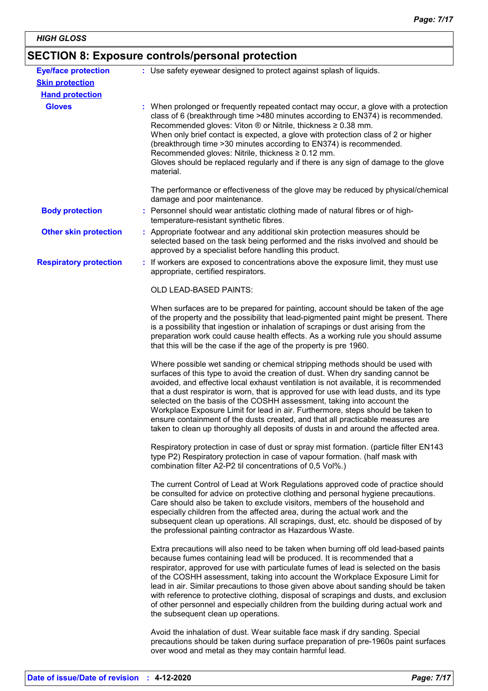# **SECTION 8: Exposure controls/personal protection**

| <b>Eye/face protection</b>    | : Use safety eyewear designed to protect against splash of liquids.                                                                                                                                                                                                                                                                                                                                                                                                                                                                                                                                                                                                                     |
|-------------------------------|-----------------------------------------------------------------------------------------------------------------------------------------------------------------------------------------------------------------------------------------------------------------------------------------------------------------------------------------------------------------------------------------------------------------------------------------------------------------------------------------------------------------------------------------------------------------------------------------------------------------------------------------------------------------------------------------|
| <b>Skin protection</b>        |                                                                                                                                                                                                                                                                                                                                                                                                                                                                                                                                                                                                                                                                                         |
| <b>Hand protection</b>        |                                                                                                                                                                                                                                                                                                                                                                                                                                                                                                                                                                                                                                                                                         |
| <b>Gloves</b>                 | : When prolonged or frequently repeated contact may occur, a glove with a protection<br>class of 6 (breakthrough time >480 minutes according to EN374) is recommended.<br>Recommended gloves: Viton ® or Nitrile, thickness ≥ 0.38 mm.<br>When only brief contact is expected, a glove with protection class of 2 or higher<br>(breakthrough time > 30 minutes according to EN374) is recommended.<br>Recommended gloves: Nitrile, thickness ≥ 0.12 mm.<br>Gloves should be replaced regularly and if there is any sign of damage to the glove<br>material.                                                                                                                             |
|                               | The performance or effectiveness of the glove may be reduced by physical/chemical<br>damage and poor maintenance.                                                                                                                                                                                                                                                                                                                                                                                                                                                                                                                                                                       |
| <b>Body protection</b>        | : Personnel should wear antistatic clothing made of natural fibres or of high-<br>temperature-resistant synthetic fibres.                                                                                                                                                                                                                                                                                                                                                                                                                                                                                                                                                               |
| <b>Other skin protection</b>  | : Appropriate footwear and any additional skin protection measures should be<br>selected based on the task being performed and the risks involved and should be<br>approved by a specialist before handling this product.                                                                                                                                                                                                                                                                                                                                                                                                                                                               |
| <b>Respiratory protection</b> | : If workers are exposed to concentrations above the exposure limit, they must use<br>appropriate, certified respirators.                                                                                                                                                                                                                                                                                                                                                                                                                                                                                                                                                               |
|                               | OLD LEAD-BASED PAINTS:                                                                                                                                                                                                                                                                                                                                                                                                                                                                                                                                                                                                                                                                  |
|                               | When surfaces are to be prepared for painting, account should be taken of the age<br>of the property and the possibility that lead-pigmented paint might be present. There<br>is a possibility that ingestion or inhalation of scrapings or dust arising from the<br>preparation work could cause health effects. As a working rule you should assume<br>that this will be the case if the age of the property is pre 1960.                                                                                                                                                                                                                                                             |
|                               | Where possible wet sanding or chemical stripping methods should be used with<br>surfaces of this type to avoid the creation of dust. When dry sanding cannot be<br>avoided, and effective local exhaust ventilation is not available, it is recommended<br>that a dust respirator is worn, that is approved for use with lead dusts, and its type<br>selected on the basis of the COSHH assessment, taking into account the<br>Workplace Exposure Limit for lead in air. Furthermore, steps should be taken to<br>ensure containment of the dusts created, and that all practicable measures are<br>taken to clean up thoroughly all deposits of dusts in and around the affected area. |
|                               | Respiratory protection in case of dust or spray mist formation. (particle filter EN143<br>type P2) Respiratory protection in case of vapour formation. (half mask with<br>combination filter A2-P2 til concentrations of 0,5 Vol%.)                                                                                                                                                                                                                                                                                                                                                                                                                                                     |
|                               | The current Control of Lead at Work Regulations approved code of practice should<br>be consulted for advice on protective clothing and personal hygiene precautions.<br>Care should also be taken to exclude visitors, members of the household and<br>especially children from the affected area, during the actual work and the<br>subsequent clean up operations. All scrapings, dust, etc. should be disposed of by<br>the professional painting contractor as Hazardous Waste.                                                                                                                                                                                                     |
|                               | Extra precautions will also need to be taken when burning off old lead-based paints<br>because fumes containing lead will be produced. It is recommended that a<br>respirator, approved for use with particulate fumes of lead is selected on the basis<br>of the COSHH assessment, taking into account the Workplace Exposure Limit for<br>lead in air. Similar precautions to those given above about sanding should be taken<br>with reference to protective clothing, disposal of scrapings and dusts, and exclusion<br>of other personnel and especially children from the building during actual work and<br>the subsequent clean up operations.                                  |
|                               | Avoid the inhalation of dust. Wear suitable face mask if dry sanding. Special<br>precautions should be taken during surface preparation of pre-1960s paint surfaces                                                                                                                                                                                                                                                                                                                                                                                                                                                                                                                     |

over wood and metal as they may contain harmful lead.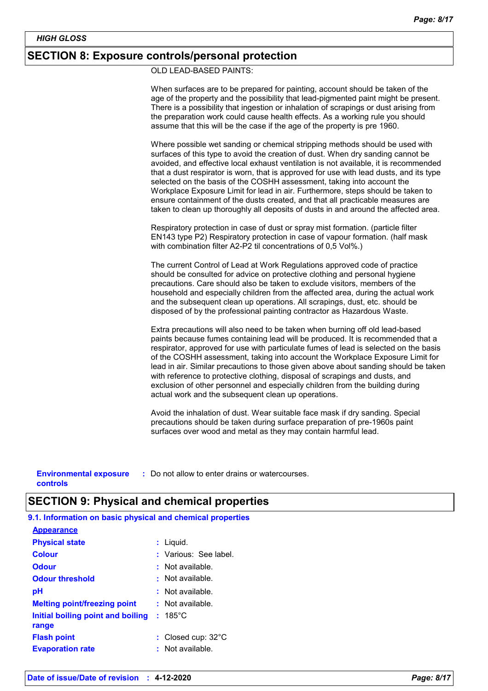### **SECTION 8: Exposure controls/personal protection**

OLD LEAD-BASED PAINTS:

When surfaces are to be prepared for painting, account should be taken of the age of the property and the possibility that lead-pigmented paint might be present. There is a possibility that ingestion or inhalation of scrapings or dust arising from the preparation work could cause health effects. As a working rule you should assume that this will be the case if the age of the property is pre 1960.

Where possible wet sanding or chemical stripping methods should be used with surfaces of this type to avoid the creation of dust. When dry sanding cannot be avoided, and effective local exhaust ventilation is not available, it is recommended that a dust respirator is worn, that is approved for use with lead dusts, and its type selected on the basis of the COSHH assessment, taking into account the Workplace Exposure Limit for lead in air. Furthermore, steps should be taken to ensure containment of the dusts created, and that all practicable measures are taken to clean up thoroughly all deposits of dusts in and around the affected area.

Respiratory protection in case of dust or spray mist formation. (particle filter EN143 type P2) Respiratory protection in case of vapour formation. (half mask with combination filter A2-P2 til concentrations of 0,5 Vol%.)

The current Control of Lead at Work Regulations approved code of practice should be consulted for advice on protective clothing and personal hygiene precautions. Care should also be taken to exclude visitors, members of the household and especially children from the affected area, during the actual work and the subsequent clean up operations. All scrapings, dust, etc. should be disposed of by the professional painting contractor as Hazardous Waste.

Extra precautions will also need to be taken when burning off old lead-based paints because fumes containing lead will be produced. It is recommended that a respirator, approved for use with particulate fumes of lead is selected on the basis of the COSHH assessment, taking into account the Workplace Exposure Limit for lead in air. Similar precautions to those given above about sanding should be taken with reference to protective clothing, disposal of scrapings and dusts, and exclusion of other personnel and especially children from the building during actual work and the subsequent clean up operations.

Avoid the inhalation of dust. Wear suitable face mask if dry sanding. Special precautions should be taken during surface preparation of pre-1960s paint surfaces over wood and metal as they may contain harmful lead.

**Environmental exposure : Do not allow to enter drains or watercourses. controls**

# **SECTION 9: Physical and chemical properties**

**9.1. Information on basic physical and chemical properties**

| : Liquid.                                              |
|--------------------------------------------------------|
| : Various: See label.                                  |
| : Not available.                                       |
| Not available.                                         |
| : Not available.                                       |
| $:$ Not available.                                     |
| $: 185^{\circ}$ C<br>Initial boiling point and boiling |
|                                                        |
| : Closed cup: $32^{\circ}$ C                           |
| Not available.                                         |
|                                                        |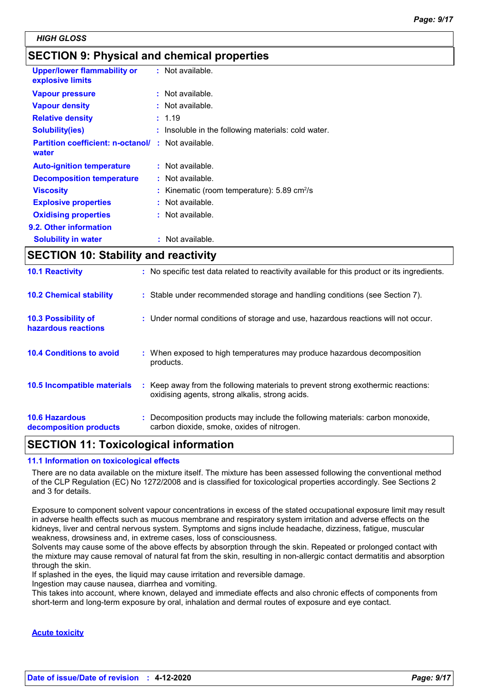# **SECTION 9: Physical and chemical properties**

| <b>Upper/lower flammability or</b><br>explosive limits | : Not available.                                             |
|--------------------------------------------------------|--------------------------------------------------------------|
| <b>Vapour pressure</b>                                 | $:$ Not available.                                           |
| <b>Vapour density</b>                                  | $:$ Not available.                                           |
| <b>Relative density</b>                                | : 1.19                                                       |
| <b>Solubility(ies)</b>                                 | : Insoluble in the following materials: cold water.          |
| <b>Partition coefficient: n-octanol/</b><br>water      | $\therefore$ Not available.                                  |
| <b>Auto-ignition temperature</b>                       | : Not available.                                             |
| <b>Decomposition temperature</b>                       | : Not available.                                             |
| <b>Viscosity</b>                                       | : Kinematic (room temperature): $5.89 \text{ cm}^2/\text{s}$ |
| <b>Explosive properties</b>                            | : Not available.                                             |
| <b>Oxidising properties</b>                            | : Not available.                                             |
| 9.2. Other information                                 |                                                              |
| <b>Solubility in water</b>                             | : Not available.                                             |

# **SECTION 10: Stability and reactivity**

| <b>10.1 Reactivity</b>                            | : No specific test data related to reactivity available for this product or its ingredients.                                        |
|---------------------------------------------------|-------------------------------------------------------------------------------------------------------------------------------------|
| <b>10.2 Chemical stability</b>                    | : Stable under recommended storage and handling conditions (see Section 7).                                                         |
| <b>10.3 Possibility of</b><br>hazardous reactions | : Under normal conditions of storage and use, hazardous reactions will not occur.                                                   |
| <b>10.4 Conditions to avoid</b>                   | : When exposed to high temperatures may produce hazardous decomposition<br>products.                                                |
| <b>10.5 Incompatible materials</b>                | : Keep away from the following materials to prevent strong exothermic reactions:<br>oxidising agents, strong alkalis, strong acids. |
| <b>10.6 Hazardous</b><br>decomposition products   | : Decomposition products may include the following materials: carbon monoxide,<br>carbon dioxide, smoke, oxides of nitrogen.        |

# **SECTION 11: Toxicological information**

### **11.1 Information on toxicological effects**

There are no data available on the mixture itself. The mixture has been assessed following the conventional method of the CLP Regulation (EC) No 1272/2008 and is classified for toxicological properties accordingly. See Sections 2 and 3 for details.

Exposure to component solvent vapour concentrations in excess of the stated occupational exposure limit may result in adverse health effects such as mucous membrane and respiratory system irritation and adverse effects on the kidneys, liver and central nervous system. Symptoms and signs include headache, dizziness, fatigue, muscular weakness, drowsiness and, in extreme cases, loss of consciousness.

Solvents may cause some of the above effects by absorption through the skin. Repeated or prolonged contact with the mixture may cause removal of natural fat from the skin, resulting in non-allergic contact dermatitis and absorption through the skin.

If splashed in the eyes, the liquid may cause irritation and reversible damage.

Ingestion may cause nausea, diarrhea and vomiting.

This takes into account, where known, delayed and immediate effects and also chronic effects of components from short-term and long-term exposure by oral, inhalation and dermal routes of exposure and eye contact.

### **Acute toxicity**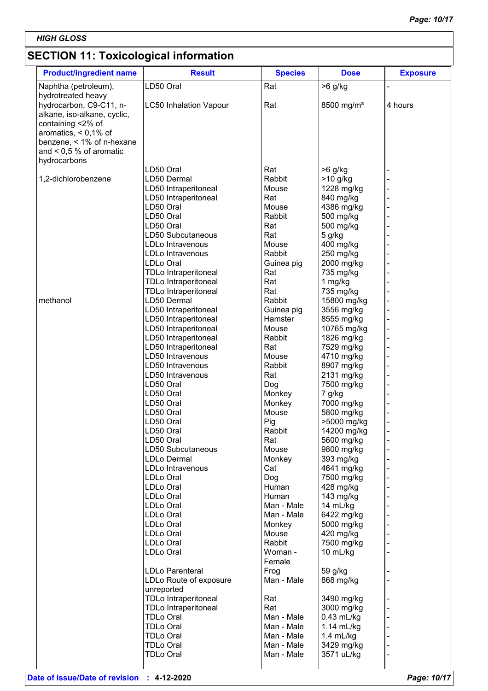# **SECTION 11: Toxicological information**

| <b>Product/ingredient name</b>                                                                    | <b>Result</b>                                | <b>Species</b>    | <b>Dose</b>              | <b>Exposure</b> |
|---------------------------------------------------------------------------------------------------|----------------------------------------------|-------------------|--------------------------|-----------------|
| Naphtha (petroleum),                                                                              | LD50 Oral                                    | Rat               | >6 g/kg                  |                 |
| hydrotreated heavy<br>hydrocarbon, C9-C11, n-<br>alkane, iso-alkane, cyclic,<br>containing <2% of | <b>LC50 Inhalation Vapour</b>                | Rat               | 8500 mg/m <sup>3</sup>   | 4 hours         |
| aromatics, $< 0.1\%$ of<br>benzene, < 1% of n-hexane                                              |                                              |                   |                          |                 |
| and $< 0.5 %$ of aromatic<br>hydrocarbons                                                         |                                              |                   |                          |                 |
| 1,2-dichlorobenzene                                                                               | LD50 Oral<br>LD50 Dermal                     | Rat<br>Rabbit     | $>6$ g/kg<br>$>10$ g/kg  |                 |
|                                                                                                   | LD50 Intraperitoneal                         | Mouse             | 1228 mg/kg               |                 |
|                                                                                                   | LD50 Intraperitoneal<br>LD50 Oral            | Rat<br>Mouse      | 840 mg/kg<br>4386 mg/kg  |                 |
|                                                                                                   | LD50 Oral                                    | Rabbit            | 500 mg/kg                |                 |
|                                                                                                   | LD50 Oral                                    | Rat               | 500 mg/kg                |                 |
|                                                                                                   | LD50 Subcutaneous                            | Rat               | 5 g/kg                   |                 |
|                                                                                                   | LDLo Intravenous<br>LDLo Intravenous         | Mouse<br>Rabbit   | 400 mg/kg<br>250 mg/kg   |                 |
|                                                                                                   | LDLo Oral                                    | Guinea pig        | 2000 mg/kg               |                 |
|                                                                                                   | TDLo Intraperitoneal                         | Rat               | 735 mg/kg                |                 |
|                                                                                                   | TDLo Intraperitoneal                         | Rat               | 1 mg/kg                  |                 |
| methanol                                                                                          | TDLo Intraperitoneal<br>LD50 Dermal          | Rat<br>Rabbit     | 735 mg/kg<br>15800 mg/kg |                 |
|                                                                                                   | LD50 Intraperitoneal                         | Guinea pig        | 3556 mg/kg               |                 |
|                                                                                                   | LD50 Intraperitoneal                         | Hamster           | 8555 mg/kg               |                 |
|                                                                                                   | LD50 Intraperitoneal                         | Mouse             | 10765 mg/kg              |                 |
|                                                                                                   | LD50 Intraperitoneal<br>LD50 Intraperitoneal | Rabbit<br>Rat     | 1826 mg/kg<br>7529 mg/kg |                 |
|                                                                                                   | LD50 Intravenous                             | Mouse             | 4710 mg/kg               |                 |
|                                                                                                   | LD50 Intravenous                             | Rabbit            | 8907 mg/kg               |                 |
|                                                                                                   | LD50 Intravenous                             | Rat               | 2131 mg/kg               |                 |
|                                                                                                   | LD50 Oral<br>LD50 Oral                       | Dog<br>Monkey     | 7500 mg/kg               |                 |
|                                                                                                   | LD50 Oral                                    | Monkey            | 7 g/kg<br>7000 mg/kg     |                 |
|                                                                                                   | LD50 Oral                                    | Mouse             | 5800 mg/kg               |                 |
|                                                                                                   | LD50 Oral                                    | Pig               | >5000 mg/kg              |                 |
|                                                                                                   | LD50 Oral                                    | Rabbit<br>Rat     | 14200 mg/kg              |                 |
|                                                                                                   | LD50 Oral<br>LD50 Subcutaneous               | Mouse             | 5600 mg/kg<br>9800 mg/kg |                 |
|                                                                                                   | <b>LDLo Dermal</b>                           | Monkey            | 393 mg/kg                |                 |
|                                                                                                   | LDLo Intravenous                             | Cat               | 4641 mg/kg               |                 |
|                                                                                                   | LDLo Oral                                    | Dog               | 7500 mg/kg               |                 |
|                                                                                                   | LDLo Oral<br>LDLo Oral                       | Human<br>Human    | 428 mg/kg<br>143 mg/kg   |                 |
|                                                                                                   | LDLo Oral                                    | Man - Male        | 14 mL/kg                 |                 |
|                                                                                                   | LDLo Oral                                    | Man - Male        | 6422 mg/kg               |                 |
|                                                                                                   | LDLo Oral                                    | Monkey            | 5000 mg/kg               |                 |
|                                                                                                   | LDLo Oral<br>LDLo Oral                       | Mouse<br>Rabbit   | 420 mg/kg<br>7500 mg/kg  |                 |
|                                                                                                   | LDLo Oral                                    | Woman -<br>Female | 10 mL/kg                 |                 |
|                                                                                                   | <b>LDLo Parenteral</b>                       | Frog              | 59 g/kg                  |                 |
|                                                                                                   | LDLo Route of exposure<br>unreported         | Man - Male        | 868 mg/kg                |                 |
|                                                                                                   | TDLo Intraperitoneal                         | Rat               | 3490 mg/kg               |                 |
|                                                                                                   | TDLo Intraperitoneal<br><b>TDLo Oral</b>     | Rat<br>Man - Male | 3000 mg/kg<br>0.43 mL/kg |                 |
|                                                                                                   | <b>TDLo Oral</b>                             | Man - Male        | 1.14 mL/kg               |                 |
|                                                                                                   | <b>TDLo Oral</b>                             | Man - Male        | $1.4$ mL/kg              |                 |
|                                                                                                   | <b>TDLo Oral</b>                             | Man - Male        | 3429 mg/kg               |                 |
|                                                                                                   | <b>TDLo Oral</b>                             | Man - Male        | 3571 uL/kg               |                 |
|                                                                                                   |                                              |                   |                          |                 |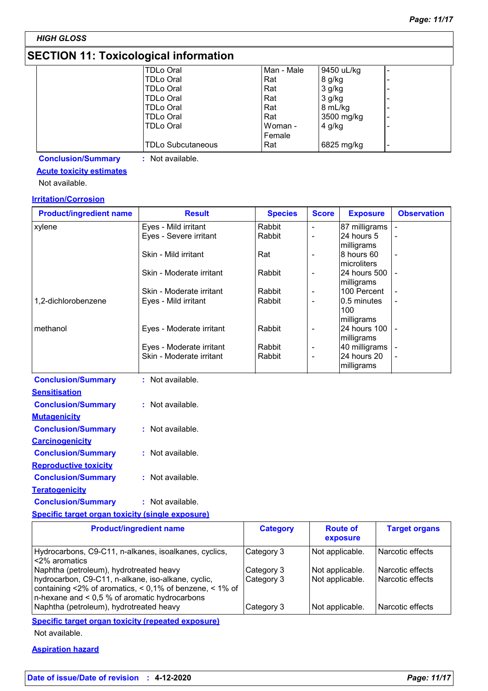*HIGH GLOSS*

# **SECTION 11: Toxicological information**

| . <u>.</u> |                          |            |            |   |
|------------|--------------------------|------------|------------|---|
|            | <b>TDLo Oral</b>         | Man - Male | 9450 uL/kg |   |
|            | <b>TDLo Oral</b>         | Rat        | 8 g/kg     |   |
|            | <b>TDLo Oral</b>         | l Rat      | 3 g/kg     |   |
|            | <b>TDLo Oral</b>         | Rat        | 3 g/kg     |   |
|            | <b>TDLo Oral</b>         | Rat        | 8 mL/kg    |   |
|            | <b>TDLo Oral</b>         | Rat        | 3500 mg/kg | - |
|            | <b>TDLo Oral</b>         | Woman -    | $4$ g/kg   |   |
|            |                          | Female     |            |   |
|            | <b>TDLo Subcutaneous</b> | Rat        | 6825 mg/kg | - |

**Conclusion/Summary :** Not available.

# **Acute toxicity estimates**

Not available.

### **Irritation/Corrosion**

| <b>Product/ingredient name</b> | <b>Result</b>            | <b>Species</b> | <b>Score</b>             | <b>Exposure</b>                  | <b>Observation</b> |
|--------------------------------|--------------------------|----------------|--------------------------|----------------------------------|--------------------|
| xylene                         | Eyes - Mild irritant     | Rabbit         | $\overline{\phantom{a}}$ | 87 milligrams                    |                    |
|                                | Eyes - Severe irritant   | Rabbit         |                          | 24 hours 5<br>milligrams         |                    |
|                                | Skin - Mild irritant     | Rat            |                          | 8 hours 60<br>Imicroliters       |                    |
|                                | Skin - Moderate irritant | Rabbit         | $\overline{\phantom{a}}$ | I24 hours 500 I -<br>milligrams  |                    |
|                                | Skin - Moderate irritant | Rabbit         | $\overline{\phantom{a}}$ | 100 Percent                      |                    |
| 1,2-dichlorobenzene            | Eyes - Mild irritant     | Rabbit         | $\overline{\phantom{a}}$ | 0.5 minutes<br>100<br>milligrams |                    |
| methanol                       | Eyes - Moderate irritant | Rabbit         |                          | 24 hours 100<br>milligrams       |                    |
|                                | Eyes - Moderate irritant | Rabbit         | $\overline{\phantom{a}}$ | 40 milligrams                    |                    |
|                                | Skin - Moderate irritant | Rabbit         | $\overline{\phantom{0}}$ | 24 hours 20<br>milligrams        |                    |
| <b>Conclusion/Summary</b>      | Not available.           |                |                          |                                  |                    |
| <b>Sensitisation</b>           |                          |                |                          |                                  |                    |

| จะแจแจฉแบแ                   |                  |
|------------------------------|------------------|
| <b>Conclusion/Summary</b>    | : Not available. |
| <u>Mutaqenicity</u>          |                  |
| <b>Conclusion/Summary</b>    | : Not available. |
| <b>Carcinogenicity</b>       |                  |
| <b>Conclusion/Summary</b>    | : Not available. |
| <b>Reproductive toxicity</b> |                  |
| <b>Conclusion/Summary</b>    | : Not available. |
| Teratogenicity               |                  |
| <b>Conclusion/Summary</b>    | : Not available. |

### **Specific target organ toxicity (single exposure)**

| <b>Product/ingredient name</b>                                                                                                                                                                               | <b>Category</b>          | <b>Route of</b><br>exposure        | <b>Target organs</b>                 |
|--------------------------------------------------------------------------------------------------------------------------------------------------------------------------------------------------------------|--------------------------|------------------------------------|--------------------------------------|
| Hydrocarbons, C9-C11, n-alkanes, isoalkanes, cyclics,<br>l <2% aromatics                                                                                                                                     | Category 3               | Not applicable.                    | l Narcotic effects                   |
| Naphtha (petroleum), hydrotreated heavy<br>hydrocarbon, C9-C11, n-alkane, iso-alkane, cyclic,<br>containing <2% of aromatics, < 0,1% of benzene, < 1% of<br>$n$ -hexane and < 0,5 % of aromatic hydrocarbons | Category 3<br>Category 3 | Not applicable.<br>Not applicable. | Narcotic effects<br>Narcotic effects |
| Naphtha (petroleum), hydrotreated heavy                                                                                                                                                                      | Category 3               | Not applicable.                    | Narcotic effects                     |

**Specific target organ toxicity (repeated exposure)**

Not available.

### **Aspiration hazard**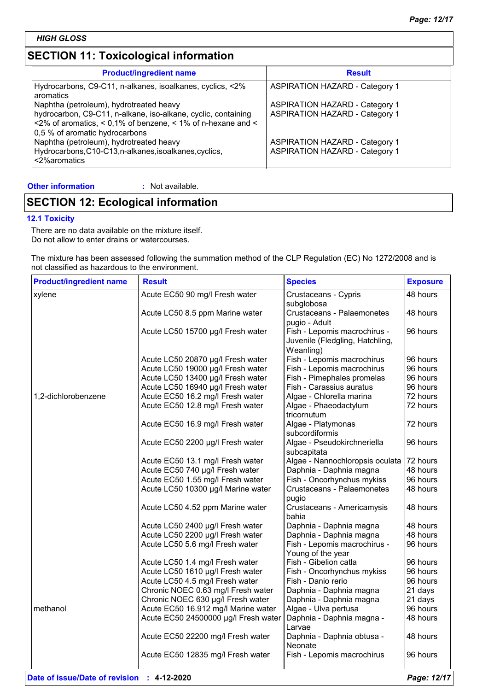# **SECTION 11: Toxicological information**

| <b>Product/ingredient name</b>                                                                                                                                                         | <b>Result</b>                         |
|----------------------------------------------------------------------------------------------------------------------------------------------------------------------------------------|---------------------------------------|
| Hydrocarbons, C9-C11, n-alkanes, isoalkanes, cyclics, <2%<br>aromatics                                                                                                                 | <b>ASPIRATION HAZARD - Category 1</b> |
| Naphtha (petroleum), hydrotreated heavy                                                                                                                                                | <b>ASPIRATION HAZARD - Category 1</b> |
| hydrocarbon, C9-C11, n-alkane, iso-alkane, cyclic, containing<br>$\approx$ 2% of aromatics, $\leq$ 0,1% of benzene, $\leq$ 1% of n-hexane and $\leq$<br>0,5 % of aromatic hydrocarbons | <b>ASPIRATION HAZARD - Category 1</b> |
| Naphtha (petroleum), hydrotreated heavy                                                                                                                                                | <b>ASPIRATION HAZARD - Category 1</b> |
| Hydrocarbons, C10-C13, n-alkanes, isoalkanes, cyclics,<br><2%aromatics                                                                                                                 | <b>ASPIRATION HAZARD - Category 1</b> |

**Other information :**

: Not available.

# **SECTION 12: Ecological information**

### **12.1 Toxicity**

There are no data available on the mixture itself. Do not allow to enter drains or watercourses.

The mixture has been assessed following the summation method of the CLP Regulation (EC) No 1272/2008 and is not classified as hazardous to the environment.

| <b>Product/ingredient name</b> | <b>Result</b>                        | <b>Species</b>                                                               | <b>Exposure</b> |
|--------------------------------|--------------------------------------|------------------------------------------------------------------------------|-----------------|
| xylene                         | Acute EC50 90 mg/l Fresh water       | Crustaceans - Cypris<br>subglobosa                                           | 48 hours        |
|                                | Acute LC50 8.5 ppm Marine water      | Crustaceans - Palaemonetes<br>pugio - Adult                                  | 48 hours        |
|                                | Acute LC50 15700 µg/l Fresh water    | Fish - Lepomis macrochirus -<br>Juvenile (Fledgling, Hatchling,<br>Weanling) | 96 hours        |
|                                | Acute LC50 20870 µg/l Fresh water    | Fish - Lepomis macrochirus                                                   | 96 hours        |
|                                | Acute LC50 19000 µg/l Fresh water    | Fish - Lepomis macrochirus                                                   | 96 hours        |
|                                | Acute LC50 13400 µg/l Fresh water    | Fish - Pimephales promelas                                                   | 96 hours        |
|                                | Acute LC50 16940 µg/l Fresh water    | Fish - Carassius auratus                                                     | 96 hours        |
| 1,2-dichlorobenzene            | Acute EC50 16.2 mg/l Fresh water     | Algae - Chlorella marina                                                     | 72 hours        |
|                                | Acute EC50 12.8 mg/l Fresh water     | Algae - Phaeodactylum<br>tricornutum                                         | 72 hours        |
|                                | Acute EC50 16.9 mg/l Fresh water     | Algae - Platymonas<br>subcordiformis                                         | 72 hours        |
|                                | Acute EC50 2200 µg/l Fresh water     | Algae - Pseudokirchneriella<br>subcapitata                                   | 96 hours        |
|                                | Acute EC50 13.1 mg/l Fresh water     | Algae - Nannochloropsis oculata                                              | $ 72$ hours     |
|                                | Acute EC50 740 µg/l Fresh water      | Daphnia - Daphnia magna                                                      | 48 hours        |
|                                | Acute EC50 1.55 mg/l Fresh water     | Fish - Oncorhynchus mykiss                                                   | 96 hours        |
|                                | Acute LC50 10300 µg/l Marine water   | Crustaceans - Palaemonetes<br>pugio                                          | 48 hours        |
|                                | Acute LC50 4.52 ppm Marine water     | Crustaceans - Americamysis<br>bahia                                          | 48 hours        |
|                                | Acute LC50 2400 µg/l Fresh water     | Daphnia - Daphnia magna                                                      | 48 hours        |
|                                | Acute LC50 2200 µg/l Fresh water     | Daphnia - Daphnia magna                                                      | 48 hours        |
|                                | Acute LC50 5.6 mg/l Fresh water      | Fish - Lepomis macrochirus -<br>Young of the year                            | 96 hours        |
|                                | Acute LC50 1.4 mg/l Fresh water      | Fish - Gibelion catla                                                        | 96 hours        |
|                                | Acute LC50 1610 µg/l Fresh water     | Fish - Oncorhynchus mykiss                                                   | 96 hours        |
|                                | Acute LC50 4.5 mg/l Fresh water      | Fish - Danio rerio                                                           | 96 hours        |
|                                | Chronic NOEC 0.63 mg/l Fresh water   | Daphnia - Daphnia magna                                                      | 21 days         |
|                                | Chronic NOEC 630 µg/l Fresh water    | Daphnia - Daphnia magna                                                      | 21 days         |
| methanol                       | Acute EC50 16.912 mg/l Marine water  | Algae - Ulva pertusa                                                         | 96 hours        |
|                                | Acute EC50 24500000 µg/l Fresh water | Daphnia - Daphnia magna -<br>Larvae                                          | 48 hours        |
|                                | Acute EC50 22200 mg/l Fresh water    | Daphnia - Daphnia obtusa -<br>Neonate                                        | 48 hours        |
|                                | Acute EC50 12835 mg/l Fresh water    | Fish - Lepomis macrochirus                                                   | 96 hours        |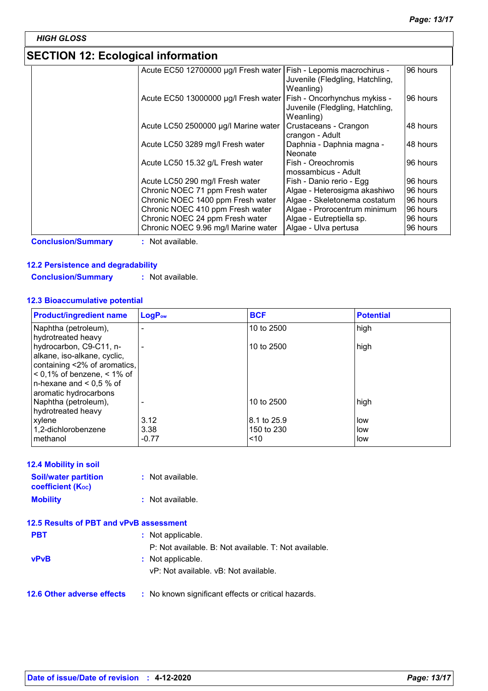# **SECTION 12: Ecological information**

| ULUTIUN TE. LUUTUJIUAI IIIIUITIIANUIT |                                                                     |                                              |          |
|---------------------------------------|---------------------------------------------------------------------|----------------------------------------------|----------|
|                                       | Acute EC50 12700000 µg/l Fresh water   Fish - Lepomis macrochirus - | Juvenile (Fledgling, Hatchling,<br>Weanling) | 96 hours |
|                                       | Acute EC50 13000000 µg/l Fresh water   Fish - Oncorhynchus mykiss - | Juvenile (Fledgling, Hatchling,<br>Weanling) | 96 hours |
|                                       | Acute LC50 2500000 µg/l Marine water                                | Crustaceans - Crangon<br>crangon - Adult     | 48 hours |
|                                       | Acute LC50 3289 mg/l Fresh water                                    | Daphnia - Daphnia magna -<br>Neonate         | 48 hours |
|                                       | Acute LC50 15.32 g/L Fresh water                                    | Fish - Oreochromis<br>mossambicus - Adult    | 96 hours |
|                                       | Acute LC50 290 mg/l Fresh water                                     | Fish - Danio rerio - Egg                     | 96 hours |
|                                       | Chronic NOEC 71 ppm Fresh water                                     | Algae - Heterosigma akashiwo                 | 96 hours |
|                                       | Chronic NOEC 1400 ppm Fresh water                                   | Algae - Skeletonema costatum                 | 96 hours |
|                                       | Chronic NOEC 410 ppm Fresh water                                    | Algae - Prorocentrum minimum                 | 96 hours |
|                                       | Chronic NOEC 24 ppm Fresh water                                     | Algae - Eutreptiella sp.                     | 96 hours |
|                                       | Chronic NOEC 9.96 mg/l Marine water                                 | Algae - Ulva pertusa                         | 96 hours |

**Conclusion/Summary :** Not available.

### **12.2 Persistence and degradability**

**Conclusion/Summary :** Not available.

### **12.3 Bioaccumulative potential**

| <b>Product/ingredient name</b>                              | LogP <sub>ow</sub> | <b>BCF</b>        | <b>Potential</b> |
|-------------------------------------------------------------|--------------------|-------------------|------------------|
| Naphtha (petroleum),<br>hydrotreated heavy                  |                    | 10 to 2500        | high             |
| hydrocarbon, C9-C11, n-                                     |                    | 10 to 2500        | high             |
| alkane, iso-alkane, cyclic,<br>containing <2% of aromatics, |                    |                   |                  |
| $0.1\%$ of benzene, $0.1\%$ of                              |                    |                   |                  |
| n-hexane and $< 0.5 %$ of<br>aromatic hydrocarbons          |                    |                   |                  |
| Naphtha (petroleum),<br>hydrotreated heavy                  |                    | 10 to 2500        | high             |
| xylene                                                      | 3.12               | l8.1 to 25.9      | low              |
| 1.2-dichlorobenzene<br>methanol                             | 3.38<br>$-0.77$    | 150 to 230<br>~10 | low<br>low       |

### **12.4 Mobility in soil**

| <b>Soil/water partition</b><br><b>coefficient</b> (K <sub>oc</sub> ) | : Not available. |
|----------------------------------------------------------------------|------------------|
| <b>Mobility</b>                                                      | : Not available. |

### **12.5 Results of PBT and vPvB assessment**

| <b>PBT</b>                        | : Not applicable.                                     |
|-----------------------------------|-------------------------------------------------------|
|                                   | P: Not available. B: Not available. T: Not available. |
| <b>vPvB</b>                       | : Not applicable.                                     |
|                                   | vP: Not available. vB: Not available.                 |
|                                   |                                                       |
| <b>12.6 Other adverse effects</b> | : No known significant effects or critical hazards.   |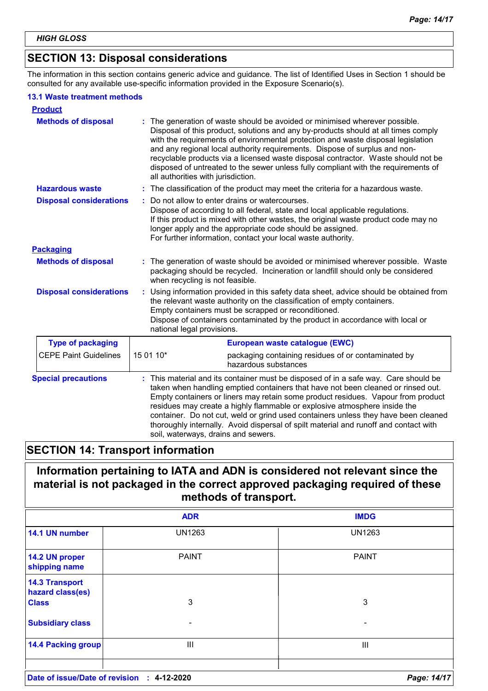# **SECTION 13: Disposal considerations**

The information in this section contains generic advice and guidance. The list of Identified Uses in Section 1 should be consulted for any available use-specific information provided in the Exposure Scenario(s).

### **13.1 Waste treatment methods**

| <b>Product</b>                 |                                                                                                                                                                                                                                                                                                                                                                                                                                                                                                                                                             |  |  |
|--------------------------------|-------------------------------------------------------------------------------------------------------------------------------------------------------------------------------------------------------------------------------------------------------------------------------------------------------------------------------------------------------------------------------------------------------------------------------------------------------------------------------------------------------------------------------------------------------------|--|--|
| <b>Methods of disposal</b>     | The generation of waste should be avoided or minimised wherever possible.<br>Disposal of this product, solutions and any by-products should at all times comply<br>with the requirements of environmental protection and waste disposal legislation<br>and any regional local authority requirements. Dispose of surplus and non-<br>recyclable products via a licensed waste disposal contractor. Waste should not be<br>disposed of untreated to the sewer unless fully compliant with the requirements of<br>all authorities with jurisdiction.          |  |  |
| <b>Hazardous waste</b>         | The classification of the product may meet the criteria for a hazardous waste.                                                                                                                                                                                                                                                                                                                                                                                                                                                                              |  |  |
| <b>Disposal considerations</b> | Do not allow to enter drains or watercourses.<br>Dispose of according to all federal, state and local applicable regulations.<br>If this product is mixed with other wastes, the original waste product code may no<br>longer apply and the appropriate code should be assigned.<br>For further information, contact your local waste authority.                                                                                                                                                                                                            |  |  |
| <b>Packaging</b>               |                                                                                                                                                                                                                                                                                                                                                                                                                                                                                                                                                             |  |  |
| <b>Methods of disposal</b>     | The generation of waste should be avoided or minimised wherever possible. Waste<br>packaging should be recycled. Incineration or landfill should only be considered<br>when recycling is not feasible.                                                                                                                                                                                                                                                                                                                                                      |  |  |
| <b>Disposal considerations</b> | Using information provided in this safety data sheet, advice should be obtained from<br>÷.<br>the relevant waste authority on the classification of empty containers.<br>Empty containers must be scrapped or reconditioned.<br>Dispose of containers contaminated by the product in accordance with local or<br>national legal provisions.                                                                                                                                                                                                                 |  |  |
| <b>Type of packaging</b>       | European waste catalogue (EWC)                                                                                                                                                                                                                                                                                                                                                                                                                                                                                                                              |  |  |
| <b>CEPE Paint Guidelines</b>   | 15 01 10*<br>packaging containing residues of or contaminated by<br>hazardous substances                                                                                                                                                                                                                                                                                                                                                                                                                                                                    |  |  |
| <b>Special precautions</b>     | This material and its container must be disposed of in a safe way. Care should be<br>taken when handling emptied containers that have not been cleaned or rinsed out.<br>Empty containers or liners may retain some product residues. Vapour from product<br>residues may create a highly flammable or explosive atmosphere inside the<br>container. Do not cut, weld or grind used containers unless they have been cleaned<br>thoroughly internally. Avoid dispersal of spilt material and runoff and contact with<br>soil, waterways, drains and sewers. |  |  |

# **SECTION 14: Transport information**

# **Information pertaining to IATA and ADN is considered not relevant since the material is not packaged in the correct approved packaging required of these methods of transport.**

|                                            | <b>ADR</b>    | <b>IMDG</b>              |  |
|--------------------------------------------|---------------|--------------------------|--|
| 14.1 UN number                             | <b>UN1263</b> | <b>UN1263</b>            |  |
| 14.2 UN proper<br>shipping name            | <b>PAINT</b>  | <b>PAINT</b>             |  |
| <b>14.3 Transport</b><br>hazard class(es)  |               |                          |  |
| <b>Class</b>                               | 3             | 3                        |  |
| <b>Subsidiary class</b>                    | ۰             | $\overline{\phantom{0}}$ |  |
| <b>14.4 Packing group</b>                  | Ш             | Ш                        |  |
| Date of issue/Date of revision : 4-12-2020 |               | Page: 14/17              |  |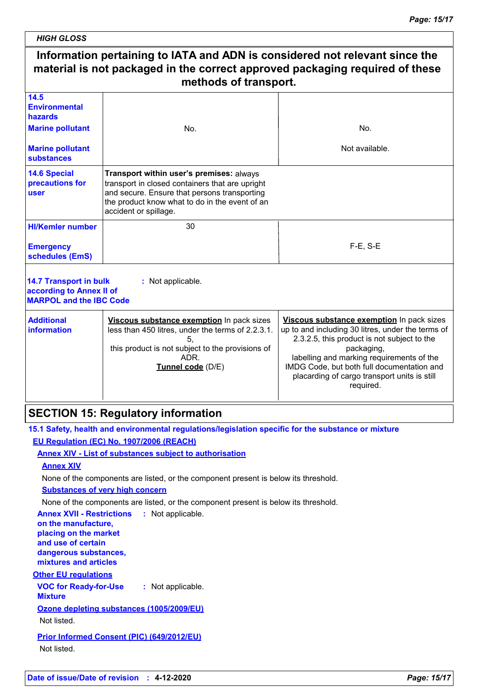*HIGH GLOSS*

#### **Information pertaining to IATA and ADN is considered not relevant since the material is not packaged in the correct approved packaging required of these methods of transport.** 30 F-E, S-E **HI/Kemler number 14.5 Environmental hazards 14.6 Special precautions for user 14.7 Transport in bulk according to Annex II of MARPOL and the IBC Code :** Not applicable. **Emergency schedules (EmS) Marine pollutant Marine pollutant substances** No. Not available. **Additional information Viscous substance exemption** In pack sizes less than 450 litres, under the terms of 2.2.3.1. 5, this product is not subject to the provisions of ADR. **Tunnel code** (D/E) **Viscous substance exemption** In pack sizes up to and including 30 litres, under the terms of 2.3.2.5, this product is not subject to the packaging, labelling and marking requirements of the IMDG Code, but both full documentation and placarding of cargo transport units is still required. No. **Transport within user's premises:** always transport in closed containers that are upright and secure. Ensure that persons transporting the product know what to do in the event of an accident or spillage.

# **SECTION 15: Regulatory information**

**15.1 Safety, health and environmental regulations/legislation specific for the substance or mixture EU Regulation (EC) No. 1907/2006 (REACH)**

**Annex XIV - List of substances subject to authorisation**

### **Annex XIV**

None of the components are listed, or the component present is below its threshold.

**Substances of very high concern**

None of the components are listed, or the component present is below its threshold.

**VOC for Ready-for-Use Mixture :** Not applicable. **Other EU regulations Annex XVII - Restrictions :** Not applicable. **on the manufacture, placing on the market and use of certain dangerous substances, mixtures and articles Ozone depleting substances (1005/2009/EU)** Not listed. **Prior Informed Consent (PIC) (649/2012/EU)** Not listed.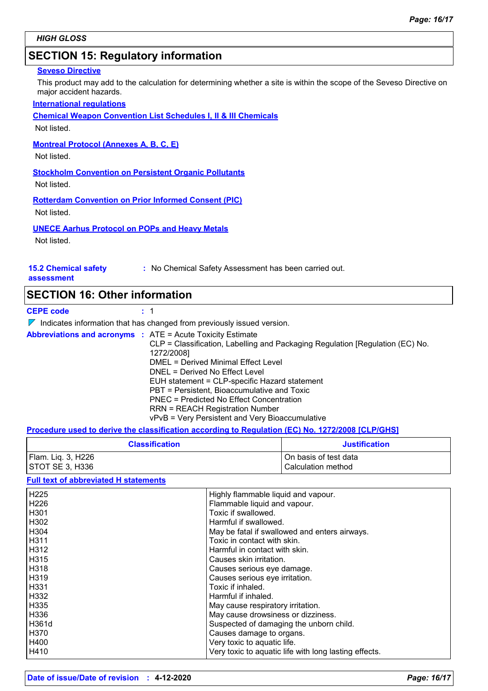# **SECTION 15: Regulatory information**

### **Seveso Directive**

This product may add to the calculation for determining whether a site is within the scope of the Seveso Directive on major accident hazards.

### **International regulations**

**Chemical Weapon Convention List Schedules I, II & III Chemicals**

Not listed.

#### **Montreal Protocol (Annexes A, B, C, E)**

Not listed.

**Stockholm Convention on Persistent Organic Pollutants**

Not listed.

**Rotterdam Convention on Prior Informed Consent (PIC)**

Not listed.

### **UNECE Aarhus Protocol on POPs and Heavy Metals**

Not listed.

### **15.2 Chemical safety**

**:** No Chemical Safety Assessment has been carried out.

**assessment**

### **SECTION 16: Other information**

**CEPE code :** 1

 $\nabla$  Indicates information that has changed from previously issued version.

|  | <b>Abbreviations and acronyms : ATE = Acute Toxicity Estimate</b><br>CLP = Classification, Labelling and Packaging Regulation [Regulation (EC) No.<br>1272/2008]<br>DMEL = Derived Minimal Effect Level<br>DNEL = Derived No Effect Level<br>EUH statement = CLP-specific Hazard statement<br>PBT = Persistent, Bioaccumulative and Toxic<br>PNEC = Predicted No Effect Concentration<br><b>RRN = REACH Registration Number</b> |
|--|---------------------------------------------------------------------------------------------------------------------------------------------------------------------------------------------------------------------------------------------------------------------------------------------------------------------------------------------------------------------------------------------------------------------------------|
|  | vPvB = Very Persistent and Very Bioaccumulative                                                                                                                                                                                                                                                                                                                                                                                 |

### **Procedure used to derive the classification according to Regulation (EC) No. 1272/2008 [CLP/GHS]**

| <b>Classification</b> | <b>Justification</b>    |
|-----------------------|-------------------------|
| Flam. Liq. 3, H226    | l On basis of test data |
| STOT SE 3, H336       | l Calculation method    |

### **Full text of abbreviated H statements**

| H225        | Highly flammable liquid and vapour.                   |
|-------------|-------------------------------------------------------|
| H226        | Flammable liquid and vapour.                          |
| H301        | Toxic if swallowed.                                   |
| H302        | Harmful if swallowed.                                 |
| H304        | May be fatal if swallowed and enters airways.         |
| <b>H311</b> | Toxic in contact with skin.                           |
| H312        | Harmful in contact with skin.                         |
| H315        | Causes skin irritation.                               |
| H318        | Causes serious eye damage.                            |
| H319        | Causes serious eye irritation.                        |
| H331        | Toxic if inhaled.                                     |
| H332        | Harmful if inhaled.                                   |
| H335        | May cause respiratory irritation.                     |
| H336        | May cause drowsiness or dizziness.                    |
| H361d       | Suspected of damaging the unborn child.               |
| H370        | Causes damage to organs.                              |
| H400        | Very toxic to aquatic life.                           |
| H410        | Very toxic to aquatic life with long lasting effects. |